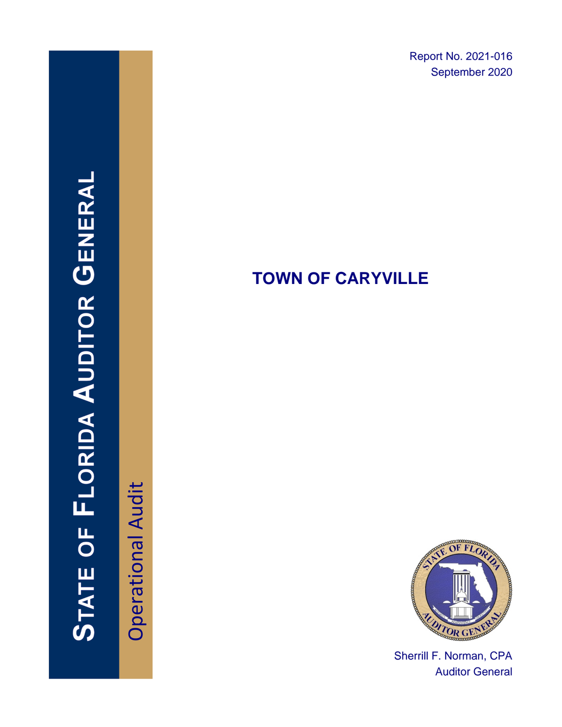Report No. 2021-016 September 2020

# **TOWN OF CARYVILLE**



STATE OF FLORIDA AUDITOR GENERAI



Sherrill F. Norman, CPA Auditor General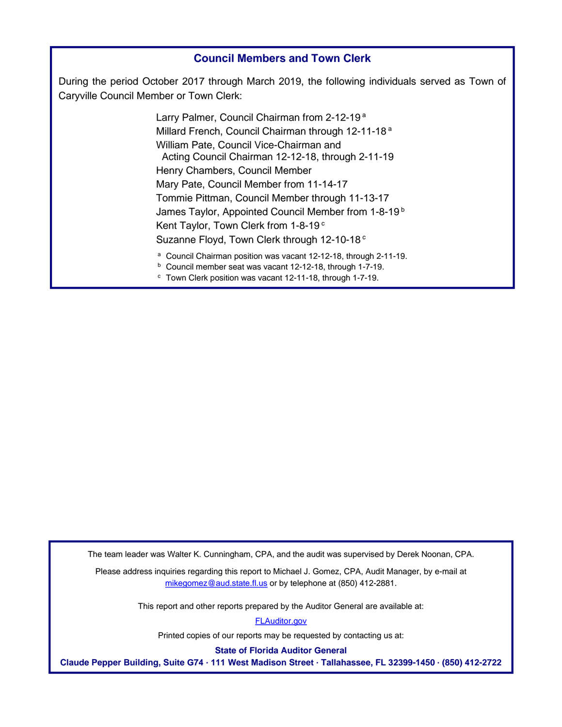#### **Council Members and Town Clerk**

During the period October 2017 through March 2019, the following individuals served as Town of Caryville Council Member or Town Clerk:

> Larry Palmer, Council Chairman from 2-12-19<sup>a</sup> Millard French, Council Chairman through 12-11-18<sup>a</sup> William Pate, Council Vice-Chairman and Acting Council Chairman 12-12-18, through 2-11-19 Henry Chambers, Council Member Mary Pate, Council Member from 11-14-17 Tommie Pittman, Council Member through 11-13-17 James Taylor, Appointed Council Member from 1-8-19<sup>b</sup> Kent Taylor, Town Clerk from 1-8-19<sup>c</sup> Suzanne Floyd, Town Clerk through 12-10-18<sup>c</sup> a Council Chairman position was vacant 12-12-18, through 2-11-19.

<sup>b</sup> Council member seat was vacant 12-12-18, through 1-7-19. <sup>c</sup> Town Clerk position was vacant 12-11-18, through 1-7-19.

The team leader was Walter K. Cunningham, CPA, and the audit was supervised by Derek Noonan, CPA.

Please address inquiries regarding this report to Michael J. Gomez, CPA, Audit Manager, by e-mail at mikegomez@aud.state.fl.us or by telephone at (850) 412-2881.

This report and other reports prepared by the Auditor General are available at:

[FLAuditor.gov](https://flauditor.gov/)

Printed copies of our reports may be requested by contacting us at:

**State of Florida Auditor General**

**Claude Pepper Building, Suite G74 ∙ 111 West Madison Street ∙ Tallahassee, FL 32399-1450 ∙ (850) 412-2722**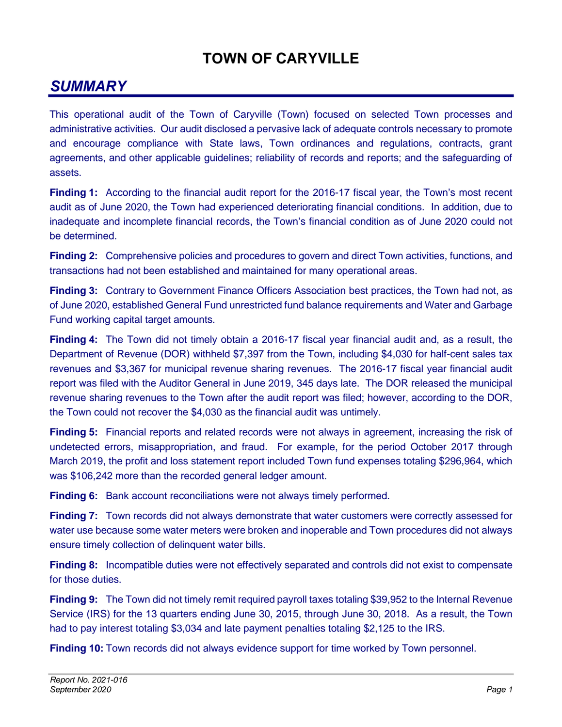# **TOWN OF CARYVILLE**

# *SUMMARY*

This operational audit of the Town of Caryville (Town) focused on selected Town processes and administrative activities. Our audit disclosed a pervasive lack of adequate controls necessary to promote and encourage compliance with State laws, Town ordinances and regulations, contracts, grant agreements, and other applicable guidelines; reliability of records and reports; and the safeguarding of assets.

**Finding 1:** According to the financial audit report for the 2016-17 fiscal year, the Town's most recent audit as of June 2020, the Town had experienced deteriorating financial conditions. In addition, due to inadequate and incomplete financial records, the Town's financial condition as of June 2020 could not be determined.

**Finding 2:** Comprehensive policies and procedures to govern and direct Town activities, functions, and transactions had not been established and maintained for many operational areas.

**Finding 3:** Contrary to Government Finance Officers Association best practices, the Town had not, as of June 2020, established General Fund unrestricted fund balance requirements and Water and Garbage Fund working capital target amounts.

**Finding 4:** The Town did not timely obtain a 2016-17 fiscal year financial audit and, as a result, the Department of Revenue (DOR) withheld \$7,397 from the Town, including \$4,030 for half-cent sales tax revenues and \$3,367 for municipal revenue sharing revenues. The 2016-17 fiscal year financial audit report was filed with the Auditor General in June 2019, 345 days late. The DOR released the municipal revenue sharing revenues to the Town after the audit report was filed; however, according to the DOR, the Town could not recover the \$4,030 as the financial audit was untimely.

**Finding 5:** Financial reports and related records were not always in agreement, increasing the risk of undetected errors, misappropriation, and fraud. For example, for the period October 2017 through March 2019, the profit and loss statement report included Town fund expenses totaling \$296,964, which was \$106,242 more than the recorded general ledger amount.

**Finding 6:** Bank account reconciliations were not always timely performed.

**Finding 7:** Town records did not always demonstrate that water customers were correctly assessed for water use because some water meters were broken and inoperable and Town procedures did not always ensure timely collection of delinquent water bills.

**Finding 8:** Incompatible duties were not effectively separated and controls did not exist to compensate for those duties.

**Finding 9:** The Town did not timely remit required payroll taxes totaling \$39,952 to the Internal Revenue Service (IRS) for the 13 quarters ending June 30, 2015, through June 30, 2018. As a result, the Town had to pay interest totaling \$3,034 and late payment penalties totaling \$2,125 to the IRS.

**Finding 10:** Town records did not always evidence support for time worked by Town personnel.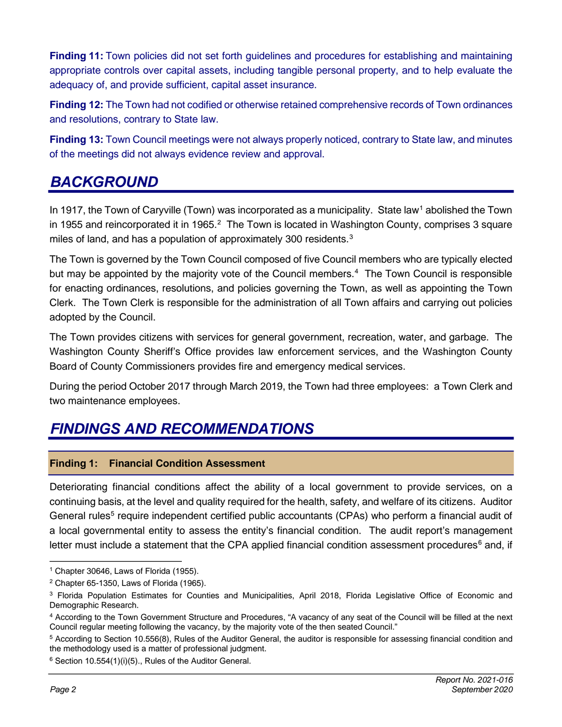**Finding 11:** Town policies did not set forth guidelines and procedures for establishing and maintaining appropriate controls over capital assets, including tangible personal property, and to help evaluate the adequacy of, and provide sufficient, capital asset insurance.

**Finding 12:** The Town had not codified or otherwise retained comprehensive records of Town ordinances and resolutions, contrary to State law.

**Finding 13:** Town Council meetings were not always properly noticed, contrary to State law, and minutes of the meetings did not always evidence review and approval.

# *BACKGROUND*

In [1](#page-3-0)917, the Town of Caryville (Town) was incorporated as a municipality. State law<sup>1</sup> abolished the Town in 1955 and reincorporated it in 1965.<sup>[2](#page-3-1)</sup> The Town is located in Washington County, comprises 3 [square](file://aud.state.fl.us/wdrive/LG/Town%20of%20Caryville/2019/OA/AW/01%20Planning/Size%20of%20Caryville.pdf) miles of land, and has a population of approximately [3](#page-3-2)00 residents.<sup>3</sup>

The Town is governed by the Town Council composed of five Council members who are typically elected but may be appointed by the majority vote of the Council members.<sup>[4](#page-3-3)</sup> The Town Council is responsible for enacting ordinances, resolutions, and policies governing the Town, as well as appointing the Town Clerk. The Town Clerk is responsible for the administration of all Town affairs and carrying out policies adopted by the Council.

The Town provides citizens with services for general government, recreation, water, and garbage. The Washington County Sheriff's Office provides law enforcement services, and the Washington County Board of County Commissioners provides fire and emergency medical services.

During the period October 2017 through March 2019, the Town had three employees: a Town Clerk and two maintenance employees.

## *FINDINGS AND RECOMMENDATIONS*

### **Finding 1: Financial Condition Assessment**

Deteriorating financial conditions affect the ability of a local government to provide services, on a continuing basis, at the level and quality required for the health, safety, and welfare of its citizens. Auditor General rules<sup>[5](#page-3-4)</sup> require independent certified public accountants (CPAs) who perform a financial audit of a local governmental entity to assess the entity's financial condition. The audit report's management letter must include a statement that the CPA applied financial condition assessment procedures $<sup>6</sup>$  $<sup>6</sup>$  $<sup>6</sup>$  and, if</sup>

<span id="page-3-0"></span><sup>1</sup> Chapter 30646, Laws of Florida (1955).

<span id="page-3-1"></span> $2$  Chapter 65-1350, Laws of Florida (1965).

<span id="page-3-2"></span><sup>&</sup>lt;sup>3</sup> Florida Population Estimates for Counties and Municipalities, April 2018, Florida Legislative Office of Economic and Demographic Research.

<span id="page-3-3"></span><sup>4</sup> According to the Town Government Structure and Procedures, "A vacancy of any seat of the Council will be filled at the next Council regular meeting following the vacancy, by the majority vote of the then seated Council."

<span id="page-3-4"></span><sup>5</sup> According to Section 10.556(8), Rules of the Auditor General, the auditor is responsible for assessing financial condition and the methodology used is a matter of professional judgment.

<span id="page-3-5"></span> $6$  Section 10.554(1)(i)(5)., Rules of the Auditor General.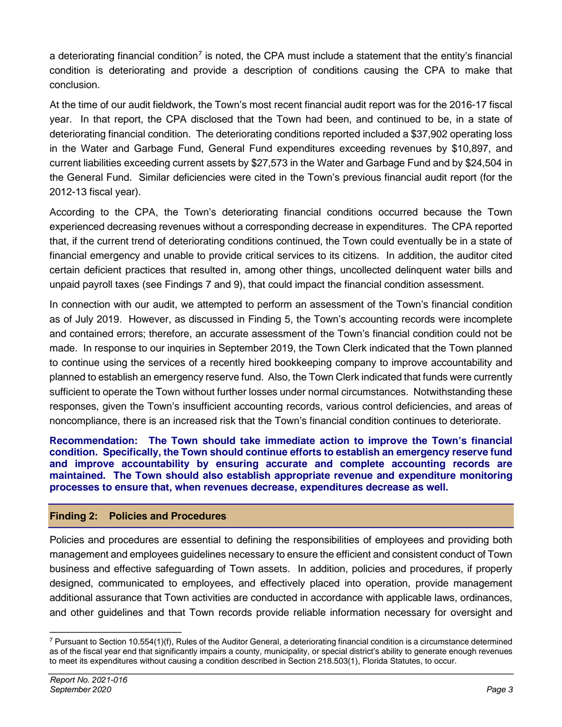a deteriorating financial condition<sup>[7](#page-4-0)</sup> is noted, the CPA must include a statement that the entity's financial condition is deteriorating and provide a description of conditions causing the CPA to make that conclusion.

At the time of our audit fieldwork, the Town's most recent financial audit report was for the 2016-17 fiscal year. In that report, the CPA disclosed that the Town had been, and continued to be, in a state of deteriorating financial condition. The deteriorating conditions reported included a \$37,902 operating loss in the Water and Garbage Fund, General Fund expenditures exceeding revenues by \$10,897, and current liabilities exceeding current assets by \$27,573 in the Water and Garbage Fund and by \$24,504 in the General Fund. Similar deficiencies were cited in the Town's previous financial audit report (for the 2012-13 fiscal year).

According to the CPA, the Town's deteriorating financial conditions occurred because the Town experienced decreasing revenues without a corresponding decrease in expenditures. The CPA reported that, if the current trend of deteriorating conditions continued, the Town could eventually be in a state of financial emergency and unable to provide critical services to its citizens. In addition, the auditor cited certain deficient practices that resulted in, among other things, uncollected delinquent water bills and unpaid payroll taxes (see Findings 7 and 9), that could impact the financial condition assessment.

In connection with our audit, we attempted to perform an assessment of the Town's financial condition as of July 2019. However, as discussed in Finding 5, the Town's accounting records were incomplete and contained errors; therefore, an accurate assessment of the Town's financial condition could not be made. In response to our inquiries in September 2019, the Town Clerk indicated that the Town planned to continue using the services of a recently hired bookkeeping company to improve accountability and planned to establish an emergency reserve fund. Also, the Town Clerk indicated that funds were currently sufficient to operate the Town without further losses under normal circumstances. Notwithstanding these responses, given the Town's insufficient accounting records, various control deficiencies, and areas of noncompliance, there is an increased risk that the Town's financial condition continues to deteriorate.

**Recommendation: The Town should take immediate action to improve the Town's financial condition. Specifically, the Town should continue efforts to establish an emergency reserve fund and improve accountability by ensuring accurate and complete accounting records are maintained. The Town should also establish appropriate revenue and expenditure monitoring processes to ensure that, when revenues decrease, expenditures decrease as well.**

### **Finding 2: Policies and Procedures**

Policies and procedures are essential to defining the responsibilities of employees and providing both management and employees guidelines necessary to ensure the efficient and consistent conduct of Town business and effective safeguarding of Town assets. In addition, policies and procedures, if properly designed, communicated to employees, and effectively placed into operation, provide management additional assurance that Town activities are conducted in accordance with applicable laws, ordinances, and other guidelines and that Town records provide reliable information necessary for oversight and

<span id="page-4-0"></span> $7$  Pursuant to Section 10.554(1)(f), Rules of the Auditor General, a deteriorating financial condition is a circumstance determined as of the fiscal year end that significantly impairs a county, municipality, or special district's ability to generate enough revenues to meet its expenditures without causing a condition described in Section 218.503(1), Florida Statutes, to occur.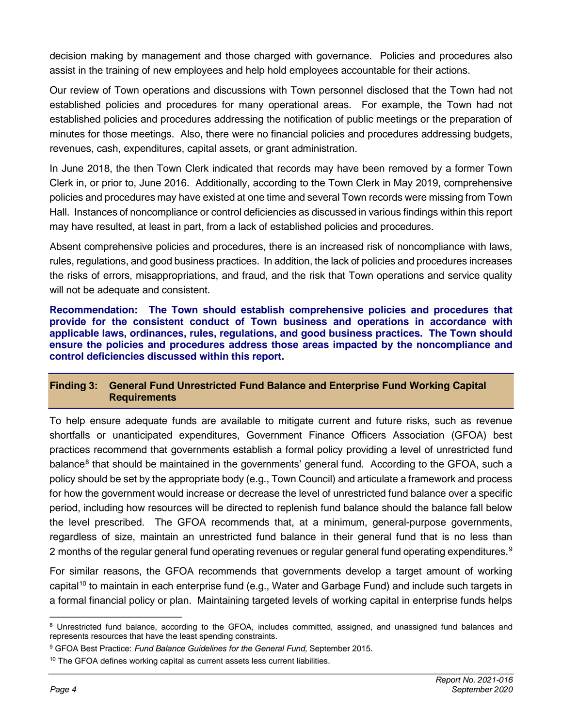decision making by management and those charged with governance. Policies and procedures also assist in the training of new employees and help hold employees accountable for their actions.

Our review of Town operations and discussions with Town personnel disclosed that the Town had not established policies and procedures for many operational areas. For example, the Town had not established policies and procedures addressing the notification of public meetings or the preparation of minutes for those meetings. Also, there were no financial policies and procedures addressing budgets, revenues, cash, expenditures, capital assets, or grant administration.

In June 2018, the then Town Clerk indicated that records may have been removed by a former Town Clerk in, or prior to, June 2016. Additionally, according to the Town Clerk in May 2019, comprehensive policies and procedures may have existed at one time and several Town records were missing from Town Hall. Instances of noncompliance or control deficiencies as discussed in various findings within this report may have resulted, at least in part, from a lack of established policies and procedures.

Absent comprehensive policies and procedures, there is an increased risk of noncompliance with laws, rules, regulations, and good business practices. In addition, the lack of policies and procedures increases the risks of errors, misappropriations, and fraud, and the risk that Town operations and service quality will not be adequate and consistent.

**Recommendation: The Town should establish comprehensive policies and procedures that provide for the consistent conduct of Town business and operations in accordance with applicable laws, ordinances, rules, regulations, and good business practices. The Town should ensure the policies and procedures address those areas impacted by the noncompliance and control deficiencies discussed within this report.**

### **Finding 3: General Fund Unrestricted Fund Balance and Enterprise Fund Working Capital Requirements**

To help ensure adequate funds are available to mitigate current and future risks, such as revenue shortfalls or unanticipated expenditures, Government Finance Officers Association (GFOA) best practices recommend that governments establish a formal policy providing a level of unrestricted fund balance<sup>[8](#page-5-0)</sup> that should be maintained in the governments' general fund. According to the GFOA, such a policy should be set by the appropriate body (e.g., Town Council) and articulate a framework and process for how the government would increase or decrease the level of unrestricted fund balance over a specific period, including how resources will be directed to replenish fund balance should the balance fall below the level prescribed. The GFOA recommends that, at a minimum, general-purpose governments, regardless of size, maintain an unrestricted fund balance in their general fund that is no less than 2 months of the regular general fund operating revenues or regular general fund operating expenditures.<sup>[9](#page-5-1)</sup>

For similar reasons, the GFOA recommends that governments develop a target amount of working capital<sup>[10](#page-5-2)</sup> to maintain in each enterprise fund (e.g., Water and Garbage Fund) and include such targets in a formal financial policy or plan. Maintaining targeted levels of working capital in enterprise funds helps

<span id="page-5-0"></span><sup>&</sup>lt;sup>8</sup> Unrestricted fund balance, according to the GFOA, includes committed, assigned, and unassigned fund balances and represents resources that have the least spending constraints.

<span id="page-5-1"></span><sup>9</sup> GFOA Best Practice: *Fund Balance Guidelines for the General Fund,* September 2015.

<span id="page-5-2"></span><sup>&</sup>lt;sup>10</sup> The GFOA defines working capital as current assets less current liabilities.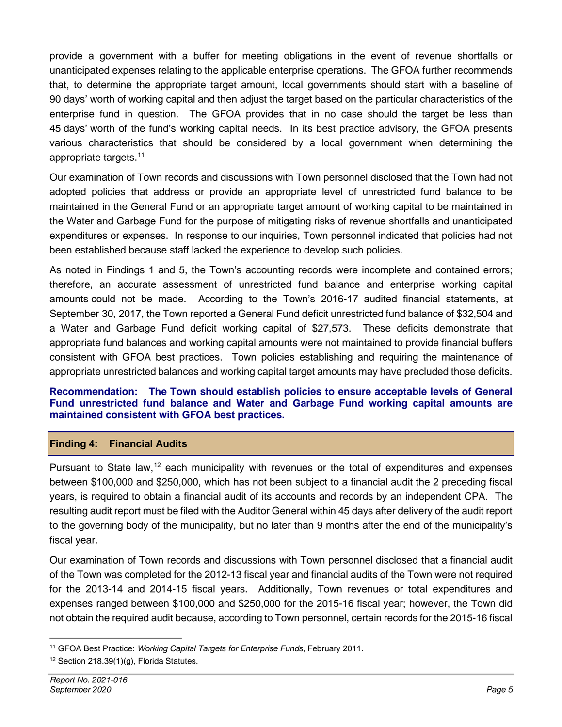provide a government with a buffer for meeting obligations in the event of revenue shortfalls or unanticipated expenses relating to the applicable enterprise operations. The GFOA further recommends that, to determine the appropriate target amount, local governments should start with a baseline of 90 days' worth of working capital and then adjust the target based on the particular characteristics of the enterprise fund in question. The GFOA provides that in no case should the target be less than 45 days' worth of the fund's working capital needs. In its best practice advisory, the GFOA presents various characteristics that should be considered by a local government when determining the appropriate targets.[11](#page-6-0)

Our examination of Town records and discussions with Town personnel disclosed that the Town had not adopted policies that address or provide an appropriate level of unrestricted fund balance to be maintained in the General Fund or an appropriate target amount of working capital to be maintained in the Water and Garbage Fund for the purpose of mitigating risks of revenue shortfalls and unanticipated expenditures or expenses. In response to our inquiries, Town personnel indicated that policies had not been established because staff lacked the experience to develop such policies.

As noted in Findings 1 and 5, the Town's accounting records were incomplete and contained errors; therefore, an accurate assessment of unrestricted fund balance and enterprise working capital amounts could not be made. According to the Town's 2016-17 audited financial statements, at September 30, 2017, the Town reported a General Fund deficit unrestricted fund balance of \$32,504 and a Water and Garbage Fund deficit working capital of \$27,573. These deficits demonstrate that appropriate fund balances and working capital amounts were not maintained to provide financial buffers consistent with GFOA best practices. Town policies establishing and requiring the maintenance of appropriate unrestricted balances and working capital target amounts may have precluded those deficits.

#### **Recommendation: The Town should establish policies to ensure acceptable levels of General Fund unrestricted fund balance and Water and Garbage Fund working capital amounts are maintained consistent with GFOA best practices.**

### **Finding 4: Financial Audits**

Pursuant to State law,<sup>[12](#page-6-1)</sup> each municipality with revenues or the total of expenditures and expenses between \$100,000 and \$250,000, which has not been subject to a financial audit the 2 preceding fiscal years, is required to obtain a financial audit of its accounts and records by an independent CPA. The resulting audit report must be filed with the Auditor General within 45 days after delivery of the audit report to the governing body of the municipality, but no later than 9 months after the end of the municipality's fiscal year.

Our examination of Town records and discussions with Town personnel disclosed that a financial audit of the Town was completed for the 2012-13 fiscal year and financial audits of the Town were not required for the 2013-14 and 2014-15 fiscal years. Additionally, Town revenues or total expenditures and expenses ranged between \$100,000 and \$250,000 for the 2015-16 fiscal year; however, the Town did not obtain the required audit because, according to Town personnel, certain records for the 2015-16 fiscal

<span id="page-6-0"></span><sup>11</sup> GFOA Best Practice: *Working Capital Targets for Enterprise Funds*, February 2011*.*

<span id="page-6-1"></span><sup>&</sup>lt;sup>12</sup> Section 218.39(1)(g), Florida Statutes.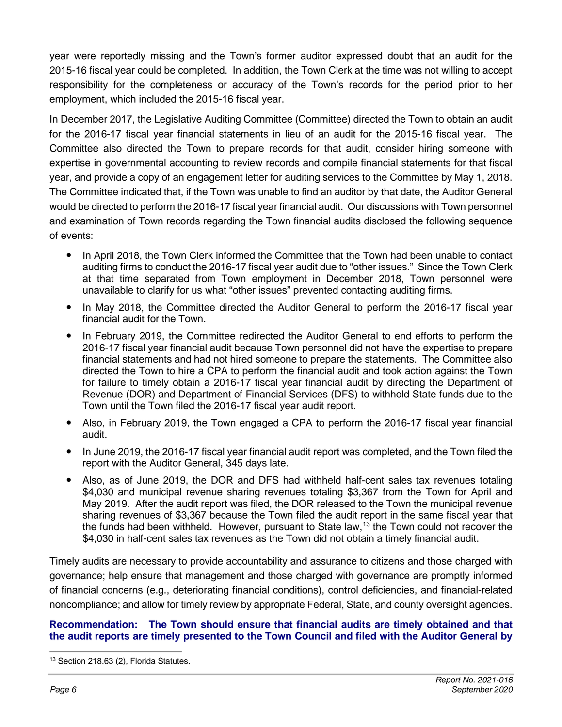year were reportedly missing and the Town's former auditor expressed doubt that an audit for the 2015-16 fiscal year could be completed. In addition, the Town Clerk at the time was not willing to accept responsibility for the completeness or accuracy of the Town's records for the period prior to her employment, which included the 2015-16 fiscal year.

In December 2017, the Legislative Auditing Committee (Committee) directed the Town to obtain an audit for the 2016-17 fiscal year financial statements in lieu of an audit for the 2015-16 fiscal year. The Committee also directed the Town to prepare records for that audit, consider hiring someone with expertise in governmental accounting to review records and compile financial statements for that fiscal year, and provide a copy of an engagement letter for auditing services to the Committee by May 1, 2018. The Committee indicated that, if the Town was unable to find an auditor by that date, the Auditor General would be directed to perform the 2016-17 fiscal year financial audit. Our discussions with Town personnel and examination of Town records regarding the Town financial audits disclosed the following sequence of events:

- In April 2018, the Town Clerk informed the Committee that the Town had been unable to contact auditing firms to conduct the 2016-17 fiscal year audit due to "other issues." Since the Town Clerk at that time separated from Town employment in December 2018, Town personnel were unavailable to clarify for us what "other issues" prevented contacting auditing firms.
- In May 2018, the Committee directed the Auditor General to perform the 2016-17 fiscal year financial audit for the Town.
- In February 2019, the Committee redirected the Auditor General to end efforts to perform the 2016-17 fiscal year financial audit because Town personnel did not have the expertise to prepare financial statements and had not hired someone to prepare the statements. The Committee also directed the Town to hire a CPA to perform the financial audit and took action against the Town for failure to timely obtain a 2016-17 fiscal year financial audit by directing the Department of Revenue (DOR) and Department of Financial Services (DFS) to withhold State funds due to the Town until the Town filed the 2016-17 fiscal year audit report.
- Also, in February 2019, the Town engaged a CPA to perform the 2016-17 fiscal year financial audit.
- In June 2019, the 2016-17 fiscal year financial audit report was completed, and the Town filed the report with the Auditor General, 345 days late.
- Also, as of June 2019, the DOR and DFS had withheld half-cent sales tax revenues totaling \$4,030 and municipal revenue sharing revenues totaling \$3,367 from the Town for April and May 2019. After the audit report was filed, the DOR released to the Town the municipal revenue sharing revenues of \$3,367 because the Town filed the audit report in the same fiscal year that the funds had been withheld. However, pursuant to State law,<sup>[13](#page-7-0)</sup> the Town could not recover the \$4,030 in half-cent sales tax revenues as the Town did not obtain a timely financial audit.

Timely audits are necessary to provide accountability and assurance to citizens and those charged with governance; help ensure that management and those charged with governance are promptly informed of financial concerns (e.g., deteriorating financial conditions), control deficiencies, and financial-related noncompliance; and allow for timely review by appropriate Federal, State, and county oversight agencies.

#### **Recommendation: The Town should ensure that financial audits are timely obtained and that the audit reports are timely presented to the Town Council and filed with the Auditor General by**

<span id="page-7-0"></span><sup>13</sup> Section 218.63 (2), Florida Statutes.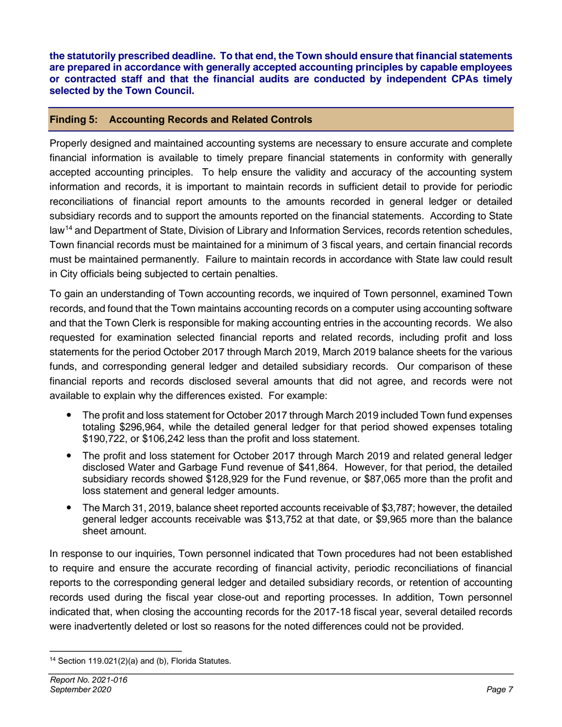**the statutorily prescribed deadline. To that end, the Town should ensure that financial statements are prepared in accordance with generally accepted accounting principles by capable employees or contracted staff and that the financial audits are conducted by independent CPAs timely selected by the Town Council.**

### **Finding 5: Accounting Records and Related Controls**

Properly designed and maintained accounting systems are necessary to ensure accurate and complete financial information is available to timely prepare financial statements in conformity with generally accepted accounting principles. To help ensure the validity and accuracy of the accounting system information and records, it is important to maintain records in sufficient detail to provide for periodic reconciliations of financial report amounts to the amounts recorded in general ledger or detailed subsidiary records and to support the amounts reported on the financial statements. According to State law[14](#page-8-0) and Department of State, Division of Library and Information Services, records retention schedules, Town financial records must be maintained for a minimum of 3 fiscal years, and certain financial records must be maintained permanently. Failure to maintain records in accordance with State law could result in City officials being subjected to certain penalties.

To gain an understanding of Town accounting records, we inquired of Town personnel, examined Town records, and found that the Town maintains accounting records on a computer using accounting software and that the Town Clerk is responsible for making accounting entries in the accounting records. We also requested for examination selected financial reports and related records, including profit and loss statements for the period October 2017 through March 2019, March 2019 balance sheets for the various funds, and corresponding general ledger and detailed subsidiary records. Our comparison of these financial reports and records disclosed several amounts that did not agree, and records were not available to explain why the differences existed. For example:

- The profit and loss statement for October 2017 through March 2019 included Town fund expenses totaling \$296,964, while the detailed general ledger for that period showed expenses totaling \$190,722, or \$106,242 less than the profit and loss statement.
- The profit and loss statement for October 2017 through March 2019 and related general ledger disclosed Water and Garbage Fund revenue of \$41,864. However, for that period, the detailed subsidiary records showed \$128,929 for the Fund revenue, or \$87,065 more than the profit and loss statement and general ledger amounts.
- The March 31, 2019, balance sheet reported accounts receivable of \$3,787; however, the detailed general ledger accounts receivable was \$13,752 at that date, or \$9,965 more than the balance sheet amount.

In response to our inquiries, Town personnel indicated that Town procedures had not been established to require and ensure the accurate recording of financial activity, periodic reconciliations of financial reports to the corresponding general ledger and detailed subsidiary records, or retention of accounting records used during the fiscal year close-out and reporting processes. In addition, Town personnel indicated that, when closing the accounting records for the 2017-18 fiscal year, several detailed records were inadvertently deleted or lost so reasons for the noted differences could not be provided.

<span id="page-8-0"></span><sup>14</sup> Section 119.021(2)(a) and (b), Florida Statutes.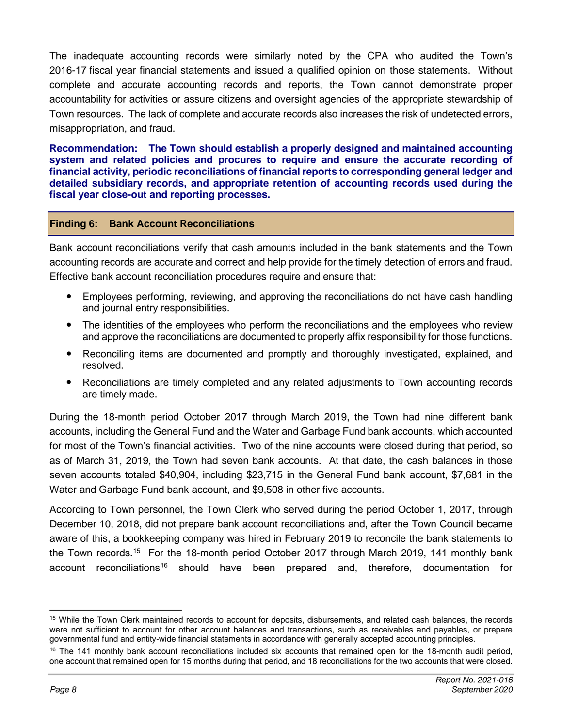The inadequate accounting records were similarly noted by the CPA who audited the Town's 2016-17 fiscal year financial statements and issued a qualified opinion on those statements. Without complete and accurate accounting records and reports, the Town cannot demonstrate proper accountability for activities or assure citizens and oversight agencies of the appropriate stewardship of Town resources. The lack of complete and accurate records also increases the risk of undetected errors, misappropriation, and fraud.

**Recommendation: The Town should establish a properly designed and maintained accounting system and related policies and procures to require and ensure the accurate recording of financial activity, periodic reconciliations of financial reports to corresponding general ledger and detailed subsidiary records, and appropriate retention of accounting records used during the fiscal year close-out and reporting processes.** 

#### **Finding 6: Bank Account Reconciliations**

Bank account reconciliations verify that cash amounts included in the bank statements and the Town accounting records are accurate and correct and help provide for the timely detection of errors and fraud. Effective bank account reconciliation procedures require and ensure that:

- Employees performing, reviewing, and approving the reconciliations do not have cash handling and journal entry responsibilities.
- The identities of the employees who perform the reconciliations and the employees who review and approve the reconciliations are documented to properly affix responsibility for those functions.
- Reconciling items are documented and promptly and thoroughly investigated, explained, and resolved.
- Reconciliations are timely completed and any related adjustments to Town accounting records are timely made.

During the 18-month period October 2017 through March 2019, the Town had nine different bank accounts, including the General Fund and the Water and Garbage Fund bank accounts, which accounted for most of the Town's financial activities. Two of the nine accounts were closed during that period, so as of March 31, 2019, the Town had seven bank accounts. At that date, the cash balances in those seven accounts totaled \$40,904, including \$23,715 in the General Fund bank account, \$7,681 in the Water and Garbage Fund bank account, and \$9,508 in other five accounts.

According to Town personnel, the Town Clerk who served during the period October 1, 2017, through December 10, 2018, did not prepare bank account reconciliations and, after the Town Council became aware of this, a bookkeeping company was hired in February 2019 to reconcile the bank statements to the Town records.<sup>15</sup> For the 18-month period October 2017 through March 2019, 141 monthly bank account reconciliations<sup>[16](#page-9-1)</sup> should have been prepared and, therefore, documentation for

<span id="page-9-0"></span><sup>&</sup>lt;sup>15</sup> While the Town Clerk maintained records to account for deposits, disbursements, and related cash balances, the records were not sufficient to account for other account balances and transactions, such as receivables and payables, or prepare governmental fund and entity-wide financial statements in accordance with generally accepted accounting principles.

<span id="page-9-1"></span><sup>&</sup>lt;sup>16</sup> The 141 monthly bank account reconciliations included six accounts that remained open for the 18-month audit period, one account that remained open for 15 months during that period, and 18 reconciliations for the two accounts that were closed.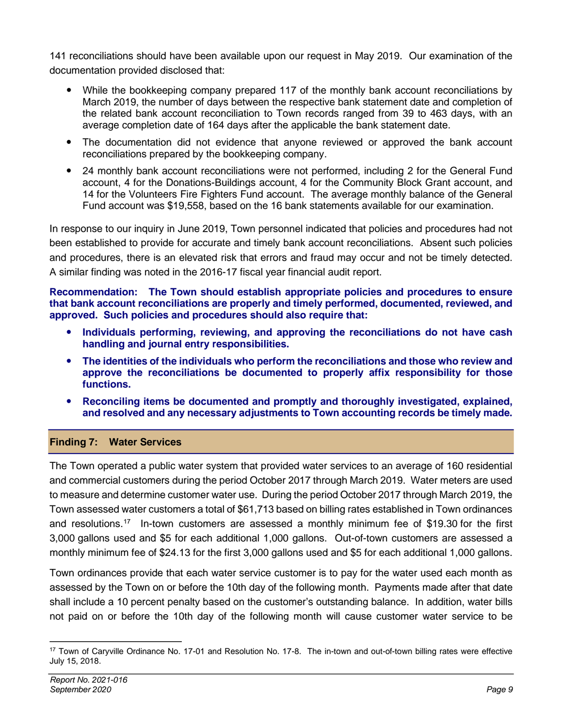141 reconciliations should have been available upon our request in May 2019. Our examination of the documentation provided disclosed that:

- While the bookkeeping company prepared 117 of the monthly bank account reconciliations by March 2019, the number of days between the respective bank statement date and completion of the related bank account reconciliation to Town records ranged from 39 to 463 days, with an average completion date of 164 days after the applicable the bank statement date.
- The documentation did not evidence that anyone reviewed or approved the bank account reconciliations prepared by the bookkeeping company.
- 24 monthly bank account reconciliations were not performed, including 2 for the General Fund account, 4 for the Donations-Buildings account, 4 for the Community Block Grant account, and 14 for the Volunteers Fire Fighters Fund account. The average monthly balance of the General Fund account was \$19,558, based on the 16 bank statements available for our examination.

In response to our inquiry in June 2019, Town personnel indicated that policies and procedures had not been established to provide for accurate and timely bank account reconciliations. Absent such policies and procedures, there is an elevated risk that errors and fraud may occur and not be timely detected. A similar finding was noted in the 2016-17 fiscal year financial audit report.

**Recommendation: The Town should establish appropriate policies and procedures to ensure that bank account reconciliations are properly and timely performed, documented, reviewed, and approved. Such policies and procedures should also require that:**

- **Individuals performing, reviewing, and approving the reconciliations do not have cash handling and journal entry responsibilities.**
- **The identities of the individuals who perform the reconciliations and those who review and approve the reconciliations be documented to properly affix responsibility for those functions.**
- **Reconciling items be documented and promptly and thoroughly investigated, explained, and resolved and any necessary adjustments to Town accounting records be timely made.**

### **Finding 7: Water Services**

The Town operated a public water system that provided water services to an average of 160 residential and commercial customers during the period October 2017 through March 2019. Water meters are used to measure and determine customer water use. During the period October 2017 through March 2019, the Town assessed water customers a total of \$61,713 based on billing rates established in Town ordinances and resolutions. [17](#page-10-0) In-town customers are assessed a monthly minimum fee of \$19.30 for the first 3,000 gallons used and \$5 for each additional 1,000 gallons. Out-of-town customers are assessed a monthly minimum fee of \$24.13 for the first 3,000 gallons used and \$5 for each additional 1,000 gallons.

Town ordinances provide that each water service customer is to pay for the water used each month as assessed by the Town on or before the 10th day of the following month. Payments made after that date shall include a 10 percent penalty based on the customer's outstanding balance. In addition, water bills not paid on or before the 10th day of the following month will cause customer water service to be

<span id="page-10-0"></span><sup>17</sup> Town of Caryville Ordinance No. 17-01 and Resolution No. 17-8. The in-town and out-of-town billing rates were effective July 15, 2018.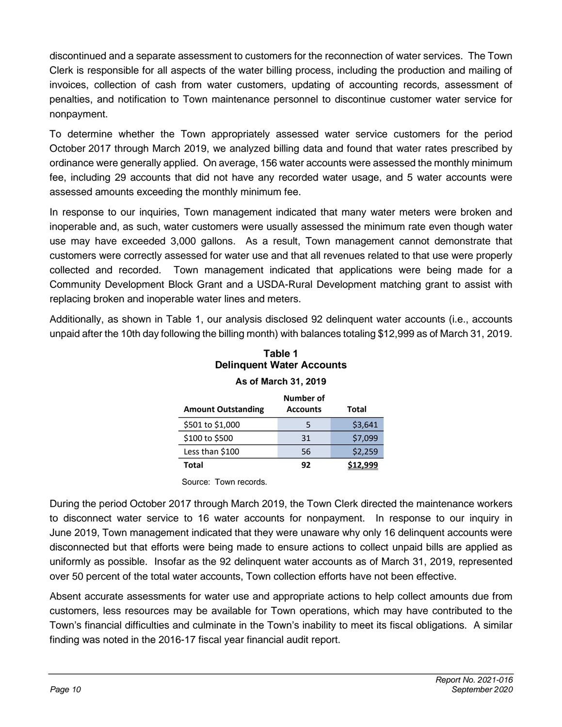discontinued and a separate assessment to customers for the reconnection of water services. The Town Clerk is responsible for all aspects of the water billing process, including the production and mailing of invoices, collection of cash from water customers, updating of accounting records, assessment of penalties, and notification to Town maintenance personnel to discontinue customer water service for nonpayment.

To determine whether the Town appropriately assessed water service customers for the period October 2017 through March 2019, we analyzed billing data and found that water rates prescribed by ordinance were generally applied. On average, 156 water accounts were assessed the monthly minimum fee, including 29 accounts that did not have any recorded water usage, and 5 water accounts were assessed amounts exceeding the monthly minimum fee.

In response to our inquiries, Town management indicated that many water meters were broken and inoperable and, as such, water customers were usually assessed the minimum rate even though water use may have exceeded 3,000 gallons. As a result, Town management cannot demonstrate that customers were correctly assessed for water use and that all revenues related to that use were properly collected and recorded. Town management indicated that applications were being made for a Community Development Block Grant and a USDA-Rural Development matching grant to assist with replacing broken and inoperable water lines and meters.

Additionally, as shown in Table 1, our analysis disclosed 92 delinquent water accounts (i.e., accounts unpaid after the 10th day following the billing month) with balances totaling \$12,999 as of March 31, 2019.

| <b>Amount Outstanding</b> | Number of<br><b>Accounts</b> | Total   |
|---------------------------|------------------------------|---------|
| \$501 to \$1,000          | 5                            | \$3,641 |
| \$100 to \$500            | 31                           | \$7,099 |
| Less than \$100           | 56                           | \$2,259 |
| Total                     | 92                           |         |

### **Table 1 Delinquent Water Accounts As of March 31, 2019**

Source: Town records.

During the period October 2017 through March 2019, the Town Clerk directed the maintenance workers to disconnect water service to 16 water accounts for nonpayment. In response to our inquiry in June 2019, Town management indicated that they were unaware why only 16 delinquent accounts were disconnected but that efforts were being made to ensure actions to collect unpaid bills are applied as uniformly as possible. Insofar as the 92 delinquent water accounts as of March 31, 2019, represented over 50 percent of the total water accounts, Town collection efforts have not been effective.

Absent accurate assessments for water use and appropriate actions to help collect amounts due from customers, less resources may be available for Town operations, which may have contributed to the Town's financial difficulties and culminate in the Town's inability to meet its fiscal obligations. A similar finding was noted in the 2016-17 fiscal year financial audit report[.](file://aud.state.fl.us/wdrive/LG/Town%20of%20Caryville/2019/OA/AW/01%20Planning/2017%20caryville.pdf)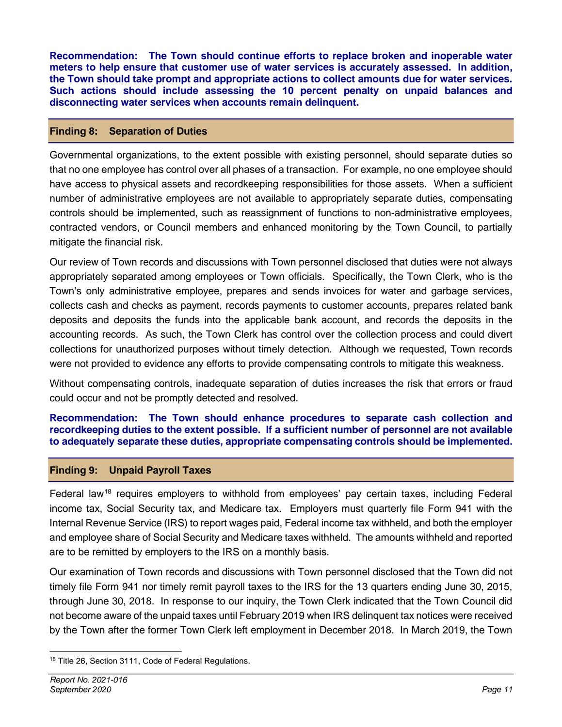**Recommendation: The Town should continue efforts to replace broken and inoperable water meters to help ensure that customer use of water services is accurately assessed. In addition, the Town should take prompt and appropriate actions to collect amounts due for water services. Such actions should include assessing the 10 percent penalty on unpaid balances and disconnecting water services when accounts remain delinquent.** 

#### **Finding 8: Separation of Duties**

Governmental organizations, to the extent possible with existing personnel, should separate duties so that no one employee has control over all phases of a transaction. For example, no one employee should have access to physical assets and recordkeeping responsibilities for those assets. When a sufficient number of administrative employees are not available to appropriately separate duties, compensating controls should be implemented, such as reassignment of functions to non-administrative employees, contracted vendors, or Council members and enhanced monitoring by the Town Council, to partially mitigate the financial risk.

Our review of Town records and discussions with Town personnel disclosed that duties were not always appropriately separated among employees or Town officials. Specifically, the Town Clerk, who is the Town's only administrative employee, prepares and sends invoices for water and garbage services, collects cash and checks as payment, records payments to customer accounts, prepares related bank deposits and deposits the funds into the applicable bank account, and records the deposits in the accounting records. As such, the Town Clerk has control over the collection process and could divert collections for unauthorized purposes without timely detection. Although we requested, Town records were not provided to evidence any efforts to provide compensating controls to mitigate this weakness.

Without compensating controls, inadequate separation of duties increases the risk that errors or fraud could occur and not be promptly detected and resolved.

#### **Recommendation: The Town should enhance procedures to separate cash collection and recordkeeping duties to the extent possible. If a sufficient number of personnel are not available to adequately separate these duties, appropriate compensating controls should be implemented.**

#### **Finding 9: Unpaid Payroll Taxes**

Federal law<sup>[18](#page-12-0)</sup> requires employers to withhold from employees' pay certain taxes, including Federal income tax, Social Security tax, and Medicare tax. Employers must quarterly file Form 941 with the Internal Revenue Service (IRS) to report wages paid, Federal income tax withheld, and both the employer and employee share of Social Security and Medicare taxes withheld. The amounts withheld and reported are to be remitted by employers to the IRS on a monthly basis.

Our examination of Town records and discussions with Town personnel disclosed that the Town did not timely file Form 941 nor timely remit payroll taxes to the IRS for the 13 quarters ending June 30, 2015, through June 30, 2018. In response to our inquiry, the Town Clerk indicated that the Town Council did not become aware of the unpaid taxes until February 2019 when IRS delinquent tax notices were received by the Town after the former Town Clerk left employment in December 2018. In March 2019, the Town

<span id="page-12-0"></span><sup>18</sup> Title 26, Section 3111, Code of Federal Regulations.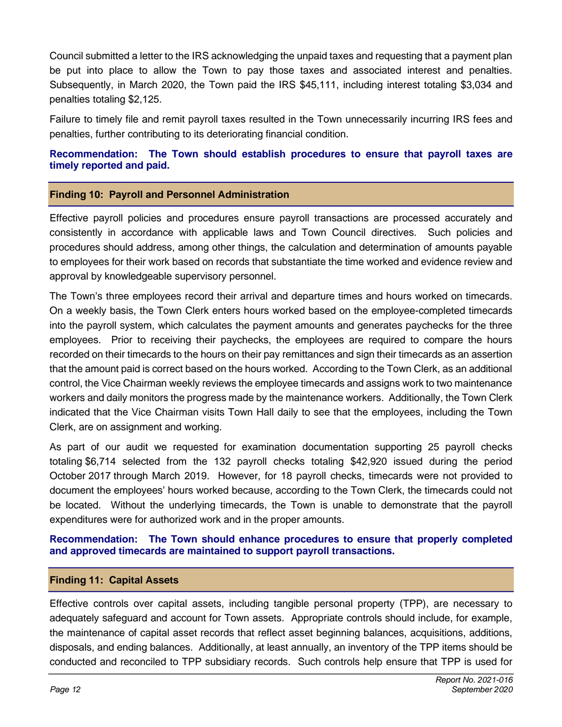Council submitted a letter to the IRS acknowledging the unpaid taxes and requesting that a payment plan be put into place to allow the Town to pay those taxes and associated interest and penalties. Subsequently, in March 2020, the Town paid the IRS \$45,111, including interest totaling \$3,034 and penalties totaling \$2,125.

Failure to timely file and remit payroll taxes resulted in the Town unnecessarily incurring IRS fees and penalties, further contributing to its deteriorating financial condition.

**Recommendation: The Town should establish procedures to ensure that payroll taxes are timely reported and paid.**

#### **Finding 10: Payroll and Personnel Administration**

Effective payroll policies and procedures ensure payroll transactions are processed accurately and consistently in accordance with applicable laws and Town Council directives. Such policies and procedures should address, among other things, the calculation and determination of amounts payable to employees for their work based on records that substantiate the time worked and evidence review and approval by knowledgeable supervisory personnel.

The Town's three employees record their arrival and departure times and hours worked on timecards. On a weekly basis, the Town Clerk enters hours worked based on the employee-completed timecards into the payroll system, which calculates the payment amounts and generates paychecks for the three employees. Prior to receiving their paychecks, the employees are required to compare the hours recorded on their timecards to the hours on their pay remittances and sign their timecards as an assertion that the amount paid is correct based on the hours worked. According to the Town Clerk, as an additional control, the Vice Chairman weekly reviews the employee timecards and assigns work to two maintenance workers and daily monitors the progress made by the maintenance workers. Additionally, the Town Clerk indicated that the Vice Chairman visits Town Hall daily to see that the employees, including the Town Clerk, are on assignment and working.

As part of our audit we requested for examination documentation supporting 25 payroll checks totaling \$6,714 selected from the 132 payroll checks totaling \$42,920 issued during the period October 2017 through March 2019. However, for 18 payroll checks, timecards were not provided to document the employees' hours worked because, according to the Town Clerk, the timecards could not be located. Without the underlying timecards, the Town is unable to demonstrate that the payroll expenditures were for authorized work and in the proper amounts.

#### **Recommendation: The Town should enhance procedures to ensure that properly completed and approved timecards are maintained to support payroll transactions.**

#### **Finding 11: Capital Assets**

Effective controls over capital assets, including tangible personal property (TPP), are necessary to adequately safeguard and account for Town assets. Appropriate controls should include, for example, the maintenance of capital asset records that reflect asset beginning balances, acquisitions, additions, disposals, and ending balances. Additionally, at least annually, an inventory of the TPP items should be conducted and reconciled to TPP subsidiary records. Such controls help ensure that TPP is used for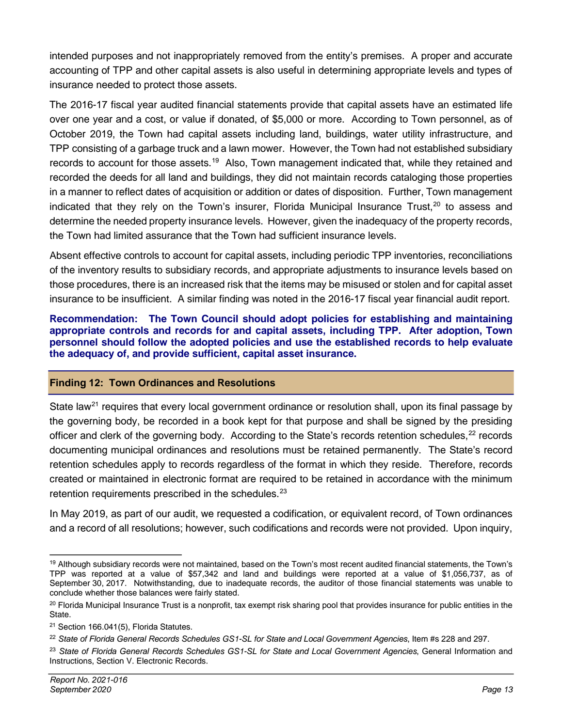intended purposes and not inappropriately removed from the entity's premises. A proper and accurate accounting of TPP and other capital assets is also useful in determining appropriate levels and types of insurance needed to protect those assets.

The 2016-17 fiscal year audited financial statements provide that capital assets have an estimated life over one year and a cost, or value if donated, of \$5,000 or more. According to Town personnel, as of October 2019, the Town had capital assets including land, buildings, water utility infrastructure, and TPP consisting of a garbage truck and a lawn mower. However, the Town had not established subsidiary records to account for those assets.<sup>[19](#page-14-0)</sup> Also, Town management indicated that, while they retained and recorded the deeds for all land and buildings, they did not maintain records cataloging those properties in a manner to reflect dates of acquisition or addition or dates of disposition. Further, Town management indicated that they rely on the Town's insurer, Florida Municipal Insurance Trust, $20$  to assess and determine the needed property insurance levels. However, given the inadequacy of the property records, the Town had limited assurance that the Town had sufficient insurance levels.

Absent effective controls to account for capital assets, including periodic TPP inventories, reconciliations of the inventory results to subsidiary records, and appropriate adjustments to insurance levels based on those procedures, there is an increased risk that the items may be misused or stolen and for capital asset insurance to be insufficient. A similar finding was noted in the 2016-17 fiscal year financial audit report.

**Recommendation: The Town Council should adopt policies for establishing and maintaining appropriate controls and records for and capital assets, including TPP. After adoption, Town personnel should follow the adopted policies and use the established records to help evaluate the adequacy of, and provide sufficient, capital asset insurance.** 

### **Finding 12: Town Ordinances and Resolutions**

State law<sup>[21](#page-14-2)</sup> requires that every local government ordinance or resolution shall, upon its final passage by the governing body, be recorded in a book kept for that purpose and shall be signed by the presiding officer and clerk of the governing body. According to the State's records retention schedules, <sup>[22](#page-14-3)</sup> records documenting municipal ordinances and resolutions must be retained permanently. The State's record retention schedules apply to records regardless of the format in which they reside. Therefore, records created or maintained in electronic format are required to be retained in accordance with the minimum retention requirements prescribed in the schedules.<sup>[23](#page-14-4)</sup>

In May 2019, as part of our audit, we requested a codification, or equivalent record, of Town ordinances and a record of all resolutions; however, such codifications and records were not provided. Upon inquiry,

<span id="page-14-0"></span><sup>&</sup>lt;sup>19</sup> Although subsidiary records were not maintained, based on the Town's most recent audited financial statements, the Town's TPP was reported at a value of \$57,342 and land and buildings were reported at a value of \$1,056,737, as of September 30, 2017. Notwithstanding, due to inadequate records, the auditor of those financial statements was unable to conclude whether those balances were fairly stated.

<span id="page-14-1"></span><sup>&</sup>lt;sup>20</sup> Florida Municipal Insurance Trust is a nonprofit, tax exempt risk sharing pool that provides insurance for public entities in the State.

<span id="page-14-2"></span><sup>21</sup> Section 166.041(5), Florida Statutes.

<span id="page-14-3"></span><sup>22</sup> *State of Florida General Records Schedules GS1-SL for State and Local Government Agencies*, Item #s 228 and 297.

<span id="page-14-4"></span><sup>23</sup> *State of Florida General Records Schedules GS1-SL for State and Local Government Agencies*, General Information and Instructions, Section V. Electronic Records.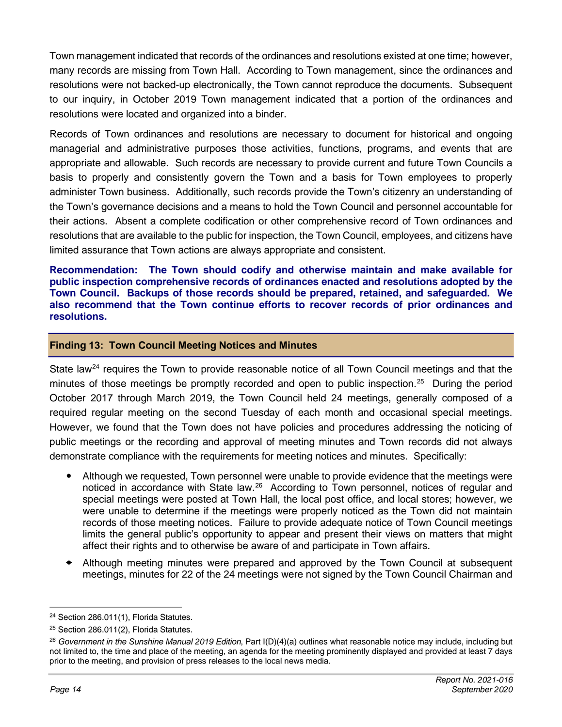Town management indicated that records of the ordinances and resolutions existed at one time; however, many records are missing from Town Hall. According to Town management, since the ordinances and resolutions were not backed-up electronically, the Town cannot reproduce the documents. Subsequent to our inquiry, in October 2019 Town management indicated that a portion of the ordinances and resolutions were located and organized into a binder.

Records of Town ordinances and resolutions are necessary to document for historical and ongoing managerial and administrative purposes those activities, functions, programs, and events that are appropriate and allowable. Such records are necessary to provide current and future Town Councils a basis to properly and consistently govern the Town and a basis for Town employees to properly administer Town business. Additionally, such records provide the Town's citizenry an understanding of the Town's governance decisions and a means to hold the Town Council and personnel accountable for their actions. Absent a complete codification or other comprehensive record of Town ordinances and resolutions that are available to the public for inspection, the Town Council, employees, and citizens have limited assurance that Town actions are always appropriate and consistent.

**Recommendation: The Town should codify and otherwise maintain and make available for public inspection comprehensive records of ordinances enacted and resolutions adopted by the Town Council. Backups of those records should be prepared, retained, and safeguarded. We also recommend that the Town continue efforts to recover records of prior ordinances and resolutions.**

#### **Finding 13: Town Council Meeting Notices and Minutes**

State law<sup>[24](#page-15-0)</sup> requires the Town to provide reasonable notice of all Town Council meetings and that the minutes of those meetings be promptly recorded and open to public inspection.<sup>[25](#page-15-1)</sup> During the period October 2017 through March 2019, the Town Council held 24 meetings, generally composed of a required regular meeting on the second Tuesday of each month and occasional special meetings. However, we found that the Town does not have policies and procedures addressing the noticing of public meetings or the recording and approval of meeting minutes and Town records did not always demonstrate compliance with the requirements for meeting notices and minutes. Specifically:

- Although we requested, Town personnel were unable to provide evidence that the meetings were noticed in accordance with State law.<sup>26</sup> According to Town personnel, notices of regular and special meetings were posted at Town Hall, the local post office, and local stores; however, we were unable to determine if the meetings were properly noticed as the Town did not maintain records of those meeting notices. Failure to provide adequate notice of Town Council meetings limits the general public's opportunity to appear and present their views on matters that might affect their rights and to otherwise be aware of and participate in Town affairs.
- Although meeting minutes were prepared and approved by the Town Council at subsequent meetings, minutes for 22 of the 24 meetings were not signed by the Town Council Chairman and

<span id="page-15-0"></span><sup>&</sup>lt;sup>24</sup> Section 286.011(1), Florida Statutes.

<span id="page-15-1"></span><sup>25</sup> Section 286.011(2), Florida Statutes.

<span id="page-15-2"></span><sup>26</sup> *Government in the Sunshine Manual 2019 Edition*, Part I(D)(4)(a) outlines what reasonable notice may include, including but not limited to, the time and place of the meeting, an agenda for the meeting prominently displayed and provided at least 7 days prior to the meeting, and provision of press releases to the local news media.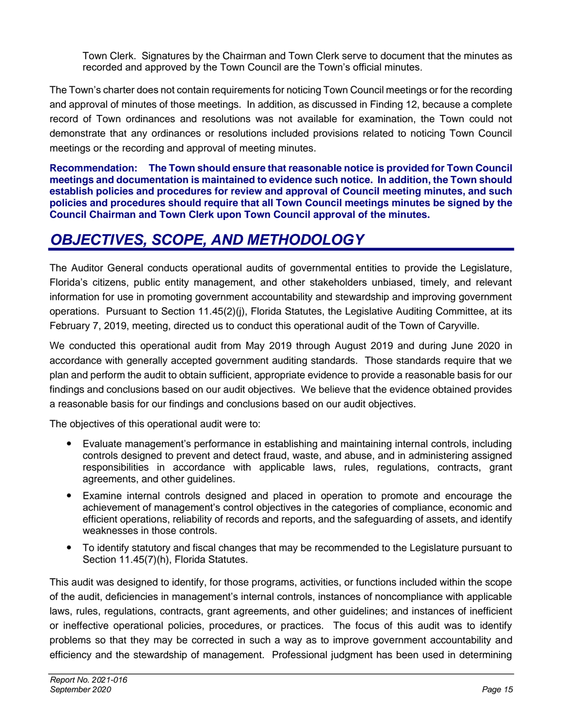Town Clerk. Signatures by the Chairman and Town Clerk serve to document that the minutes as recorded and approved by the Town Council are the Town's official minutes.

The Town's charter does not contain requirements for noticing Town Council meetings or for the recording and approval of minutes of those meetings. In addition, as discussed in Finding 12, because a complete record of Town ordinances and resolutions was not available for examination, the Town could not demonstrate that any ordinances or resolutions included provisions related to noticing Town Council meetings or the recording and approval of meeting minutes.

**Recommendation: The Town should ensure that reasonable notice is provided for Town Council meetings and documentation is maintained to evidence such notice. In addition, the Town should establish policies and procedures for review and approval of Council meeting minutes, and such policies and procedures should require that all Town Council meetings minutes be signed by the Council Chairman and Town Clerk upon Town Council approval of the minutes.** 

# *OBJECTIVES, SCOPE, AND METHODOLOGY*

The Auditor General conducts operational audits of governmental entities to provide the Legislature, Florida's citizens, public entity management, and other stakeholders unbiased, timely, and relevant information for use in promoting government accountability and stewardship and improving government operations. Pursuant to Section 11.45(2)(j), Florida Statutes, the Legislative Auditing Committee, at its February 7, 2019, meeting, directed us to conduct this operational audit of the Town of Caryville.

We conducted this operational audit from May 2019 through August 2019 and during June 2020 in accordance with generally accepted government auditing standards. Those standards require that we plan and perform the audit to obtain sufficient, appropriate evidence to provide a reasonable basis for our findings and conclusions based on our audit objectives. We believe that the evidence obtained provides a reasonable basis for our findings and conclusions based on our audit objectives.

The objectives of this operational audit were to:

- Evaluate management's performance in establishing and maintaining internal controls, including controls designed to prevent and detect fraud, waste, and abuse, and in administering assigned responsibilities in accordance with applicable laws, rules, regulations, contracts, grant agreements, and other guidelines.
- Examine internal controls designed and placed in operation to promote and encourage the achievement of management's control objectives in the categories of compliance, economic and efficient operations, reliability of records and reports, and the safeguarding of assets, and identify weaknesses in those controls.
- To identify statutory and fiscal changes that may be recommended to the Legislature pursuant to Section 11.45(7)(h), Florida Statutes.

This audit was designed to identify, for those programs, activities, or functions included within the scope of the audit, deficiencies in management's internal controls, instances of noncompliance with applicable laws, rules, regulations, contracts, grant agreements, and other guidelines; and instances of inefficient or ineffective operational policies, procedures, or practices. The focus of this audit was to identify problems so that they may be corrected in such a way as to improve government accountability and efficiency and the stewardship of management. Professional judgment has been used in determining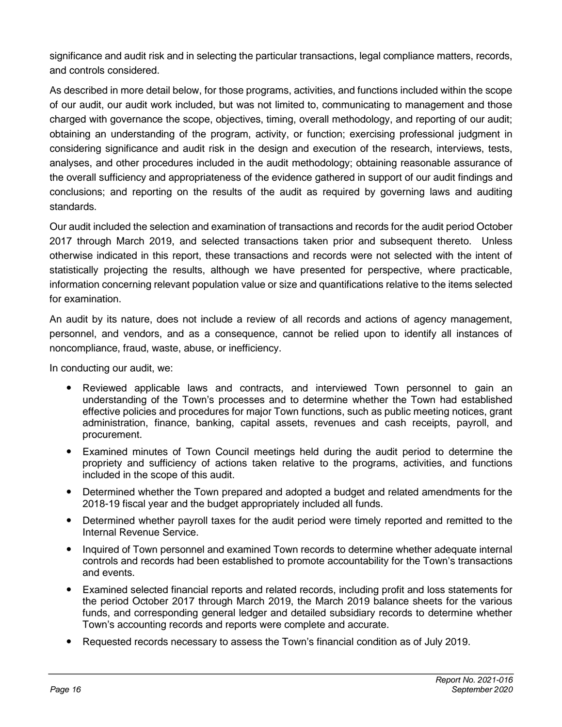significance and audit risk and in selecting the particular transactions, legal compliance matters, records, and controls considered.

As described in more detail below, for those programs, activities, and functions included within the scope of our audit, our audit work included, but was not limited to, communicating to management and those charged with governance the scope, objectives, timing, overall methodology, and reporting of our audit; obtaining an understanding of the program, activity, or function; exercising professional judgment in considering significance and audit risk in the design and execution of the research, interviews, tests, analyses, and other procedures included in the audit methodology; obtaining reasonable assurance of the overall sufficiency and appropriateness of the evidence gathered in support of our audit findings and conclusions; and reporting on the results of the audit as required by governing laws and auditing standards.

Our audit included the selection and examination of transactions and records for the audit period October 2017 through March 2019, and selected transactions taken prior and subsequent thereto. Unless otherwise indicated in this report, these transactions and records were not selected with the intent of statistically projecting the results, although we have presented for perspective, where practicable, information concerning relevant population value or size and quantifications relative to the items selected for examination.

An audit by its nature, does not include a review of all records and actions of agency management, personnel, and vendors, and as a consequence, cannot be relied upon to identify all instances of noncompliance, fraud, waste, abuse, or inefficiency.

In conducting our audit, we:

- Reviewed applicable laws and contracts, and interviewed Town personnel to gain an understanding of the Town's processes and to determine whether the Town had established effective policies and procedures for major Town functions, such as public meeting notices, grant administration, finance, banking, capital assets, revenues and cash receipts, payroll, and procurement.
- Examined minutes of Town Council meetings held during the audit period to determine the propriety and sufficiency of actions taken relative to the programs, activities, and functions included in the scope of this audit.
- Determined whether the Town prepared and adopted a budget and related amendments for the 2018-19 fiscal year and the budget appropriately included all funds.
- Determined whether payroll taxes for the audit period were timely reported and remitted to the Internal Revenue Service.
- Inquired of Town personnel and examined Town records to determine whether adequate internal controls and records had been established to promote accountability for the Town's transactions and events.
- Examined selected financial reports and related records, including profit and loss statements for the period October 2017 through March 2019, the March 2019 balance sheets for the various funds, and corresponding general ledger and detailed subsidiary records to determine whether Town's accounting records and reports were complete and accurate.
- Requested records necessary to assess the Town's financial condition as of July 2019.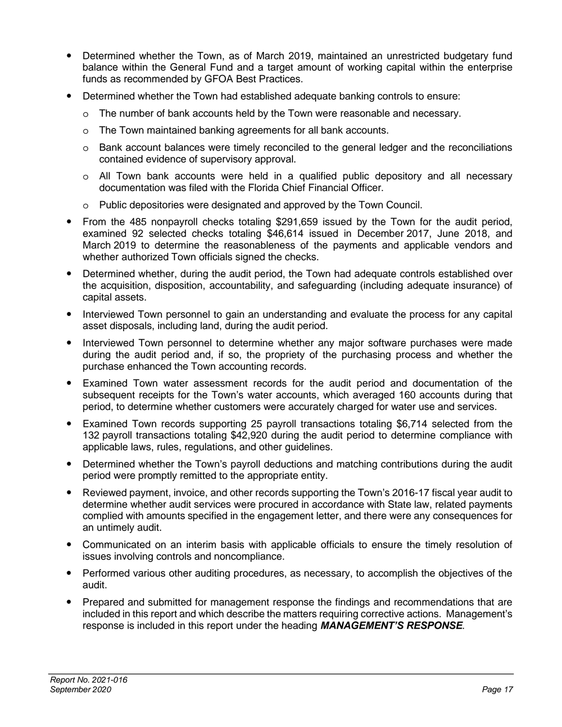- Determined whether the Town, as of March 2019, maintained an unrestricted budgetary fund balance within the General Fund and a target amount of working capital within the enterprise funds as recommended by GFOA Best Practices.
- Determined whether the Town had established adequate banking controls to ensure:
	- o The number of bank accounts held by the Town were reasonable and necessary.
	- o The Town maintained banking agreements for all bank accounts.
	- o Bank account balances were timely reconciled to the general ledger and the reconciliations contained evidence of supervisory approval.
	- o All Town bank accounts were held in a qualified public depository and all necessary documentation was filed with the Florida Chief Financial Officer.
	- o Public depositories were designated and approved by the Town Council.
- From the 485 nonpayroll checks totaling \$291,659 issued by the Town for the audit period, examined 92 selected checks totaling \$46,614 issued in December 2017, June 2018, and March 2019 to determine the reasonableness of the payments and applicable vendors and whether authorized Town officials signed the checks.
- Determined whether, during the audit period, the Town had adequate controls established over the acquisition, disposition, accountability, and safeguarding (including adequate insurance) of capital assets.
- Interviewed Town personnel to gain an understanding and evaluate the process for any capital asset disposals, including land, during the audit period.
- Interviewed Town personnel to determine whether any major software purchases were made during the audit period and, if so, the propriety of the purchasing process and whether the purchase enhanced the Town accounting records.
- Examined Town water assessment records for the audit period and documentation of the subsequent receipts for the Town's water accounts, which averaged 160 accounts during that period, to determine whether customers were accurately charged for water use and services.
- Examined Town records supporting 25 payroll transactions totaling \$6,714 selected from the 132 payroll transactions totaling \$42,920 during the audit period to determine compliance with applicable laws, rules, regulations, and other guidelines.
- Determined whether the Town's payroll deductions and matching contributions during the audit period were promptly remitted to the appropriate entity.
- Reviewed payment, invoice, and other records supporting the Town's 2016-17 fiscal year audit to determine whether audit services were procured in accordance with State law, related payments complied with amounts specified in the engagement letter, and there were any consequences for an untimely audit.
- Communicated on an interim basis with applicable officials to ensure the timely resolution of issues involving controls and noncompliance.
- Performed various other auditing procedures, as necessary, to accomplish the objectives of the audit.
- Prepared and submitted for management response the findings and recommendations that are included in this report and which describe the matters requiring corrective actions. Management's response is included in this report under the heading *MANAGEMENT'S RESPONSE*.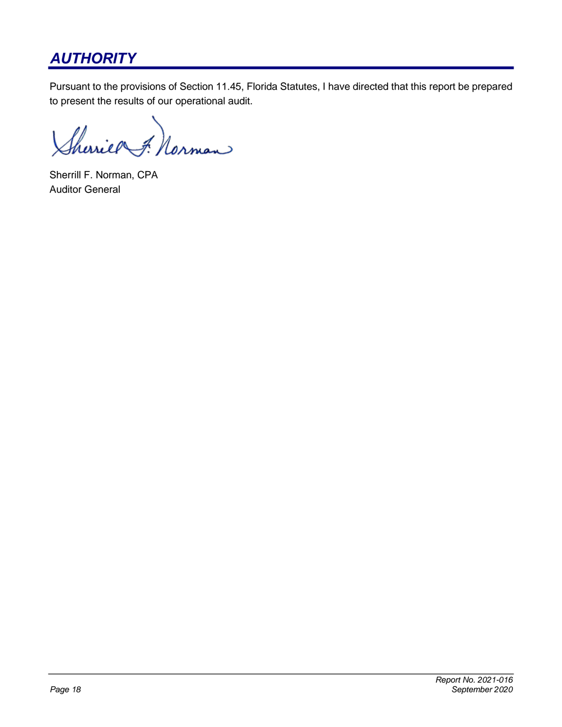# *AUTHORITY*

Pursuant to the provisions of Section 11.45, Florida Statutes, I have directed that this report be prepared to present the results of our operational audit.

Sherier F. Norman

Sherrill F. Norman, CPA Auditor General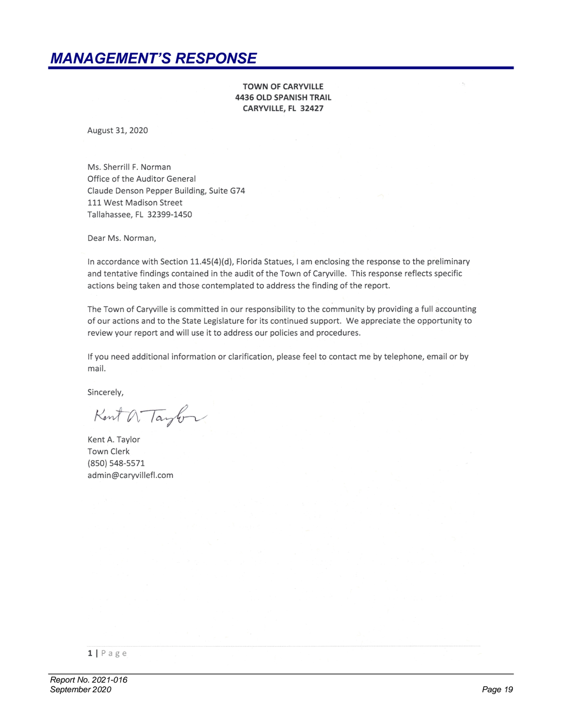### *MANAGEMENT'S RESPONSE*

**TOWN OF CARYVILLE 4436 OLD SPANISH TRAIL** CARYVILLE, FL 32427

August 31, 2020

Ms. Sherrill F. Norman Office of the Auditor General Claude Denson Pepper Building, Suite G74 111 West Madison Street Tallahassee, FL 32399-1450

Dear Ms. Norman,

In accordance with Section 11.45(4)(d), Florida Statues, I am enclosing the response to the preliminary and tentative findings contained in the audit of the Town of Caryville. This response reflects specific actions being taken and those contemplated to address the finding of the report.

The Town of Caryville is committed in our responsibility to the community by providing a full accounting of our actions and to the State Legislature for its continued support. We appreciate the opportunity to review your report and will use it to address our policies and procedures.

If you need additional information or clarification, please feel to contact me by telephone, email or by mail.

Sincerely,

Kent a Taylor

Kent A. Taylor **Town Clerk** (850) 548-5571 admin@caryvillefl.com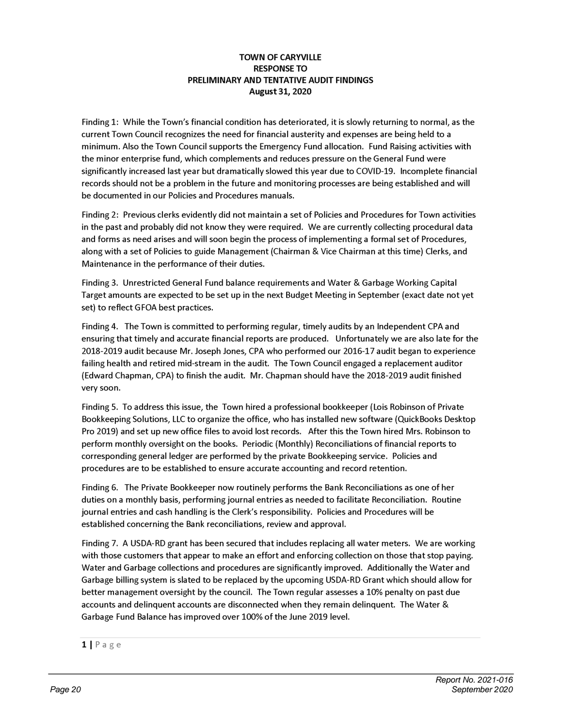#### **TOWN OF CARYVILLE RESPONSE TO** PRELIMINARY AND TENTATIVE AUDIT FINDINGS August 31, 2020

Finding 1: While the Town's financial condition has deteriorated, it is slowly returning to normal, as the current Town Council recognizes the need for financial austerity and expenses are being held to a minimum. Also the Town Council supports the Emergency Fund allocation. Fund Raising activities with the minor enterprise fund, which complements and reduces pressure on the General Fund were significantly increased last year but dramatically slowed this year due to COVID-19. Incomplete financial records should not be a problem in the future and monitoring processes are being established and will be documented in our Policies and Procedures manuals.

Finding 2: Previous clerks evidently did not maintain a set of Policies and Procedures for Town activities in the past and probably did not know they were required. We are currently collecting procedural data and forms as need arises and will soon begin the process of implementing a formal set of Procedures, along with a set of Policies to guide Management (Chairman & Vice Chairman at this time) Clerks, and Maintenance in the performance of their duties.

Finding 3. Unrestricted General Fund balance requirements and Water & Garbage Working Capital Target amounts are expected to be set up in the next Budget Meeting in September (exact date not yet set) to reflect GFOA best practices.

Finding 4. The Town is committed to performing regular, timely audits by an Independent CPA and ensuring that timely and accurate financial reports are produced. Unfortunately we are also late for the 2018-2019 audit because Mr. Joseph Jones, CPA who performed our 2016-17 audit began to experience failing health and retired mid-stream in the audit. The Town Council engaged a replacement auditor (Edward Chapman, CPA) to finish the audit. Mr. Chapman should have the 2018-2019 audit finished very soon.

Finding 5. To address this issue, the Town hired a professional bookkeeper (Lois Robinson of Private Bookkeeping Solutions, LLC to organize the office, who has installed new software (QuickBooks Desktop Pro 2019) and set up new office files to avoid lost records. After this the Town hired Mrs. Robinson to perform monthly oversight on the books. Periodic (Monthly) Reconciliations of financial reports to corresponding general ledger are performed by the private Bookkeeping service. Policies and procedures are to be established to ensure accurate accounting and record retention.

Finding 6. The Private Bookkeeper now routinely performs the Bank Reconciliations as one of her duties on a monthly basis, performing journal entries as needed to facilitate Reconciliation. Routine journal entries and cash handling is the Clerk's responsibility. Policies and Procedures will be established concerning the Bank reconciliations, review and approval.

Finding 7. A USDA-RD grant has been secured that includes replacing all water meters. We are working with those customers that appear to make an effort and enforcing collection on those that stop paying. Water and Garbage collections and procedures are significantly improved. Additionally the Water and Garbage billing system is slated to be replaced by the upcoming USDA-RD Grant which should allow for better management oversight by the council. The Town regular assesses a 10% penalty on past due accounts and delinquent accounts are disconnected when they remain delinquent. The Water & Garbage Fund Balance has improved over 100% of the June 2019 level.

 $1$ | Page